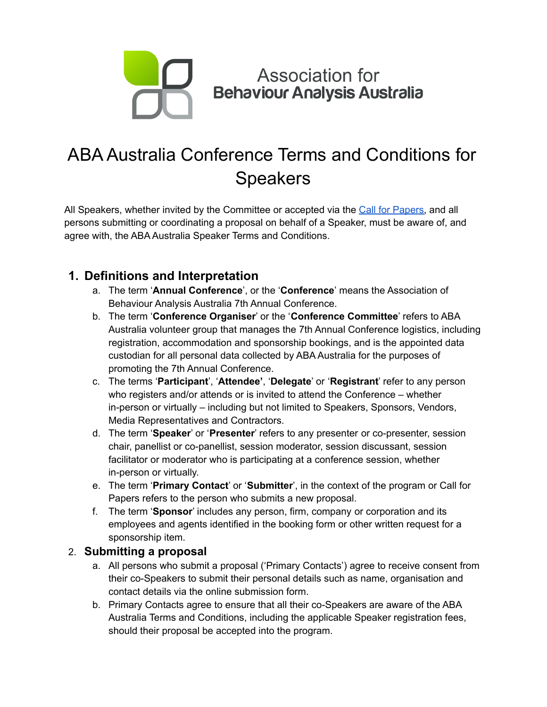

# ABA Australia Conference Terms and Conditions for Speakers

All Speakers, whether invited by the Committee or accepted via the Call for [Papers,](https://auaba.com.au/submissions) and all persons submitting or coordinating a proposal on behalf of a Speaker, must be aware of, and agree with, the ABA Australia Speaker Terms and Conditions.

# **1. Definitions and Interpretation**

- a. The term '**Annual Conference**', or the '**Conference**' means the Association of Behaviour Analysis Australia 7th Annual Conference.
- b. The term '**Conference Organiser**' or the '**Conference Committee**' refers to ABA Australia volunteer group that manages the 7th Annual Conference logistics, including registration, accommodation and sponsorship bookings, and is the appointed data custodian for all personal data collected by ABA Australia for the purposes of promoting the 7th Annual Conference.
- c. The terms '**Participant**', '**Attendee'**, '**Delegate**' or '**Registrant**' refer to any person who registers and/or attends or is invited to attend the Conference – whether in-person or virtually – including but not limited to Speakers, Sponsors, Vendors, Media Representatives and Contractors.
- d. The term '**Speaker**' or '**Presenter**' refers to any presenter or co-presenter, session chair, panellist or co-panellist, session moderator, session discussant, session facilitator or moderator who is participating at a conference session, whether in-person or virtually.
- e. The term '**Primary Contact**' or '**Submitter**', in the context of the program or Call for Papers refers to the person who submits a new proposal.
- f. The term '**Sponsor**' includes any person, firm, company or corporation and its employees and agents identified in the booking form or other written request for a sponsorship item.

## 2. **Submitting a proposal**

- a. All persons who submit a proposal ('Primary Contacts') agree to receive consent from their co-Speakers to submit their personal details such as name, organisation and contact details via the online submission form.
- b. Primary Contacts agree to ensure that all their co-Speakers are aware of the ABA Australia Terms and Conditions, including the applicable Speaker registration fees, should their proposal be accepted into the program.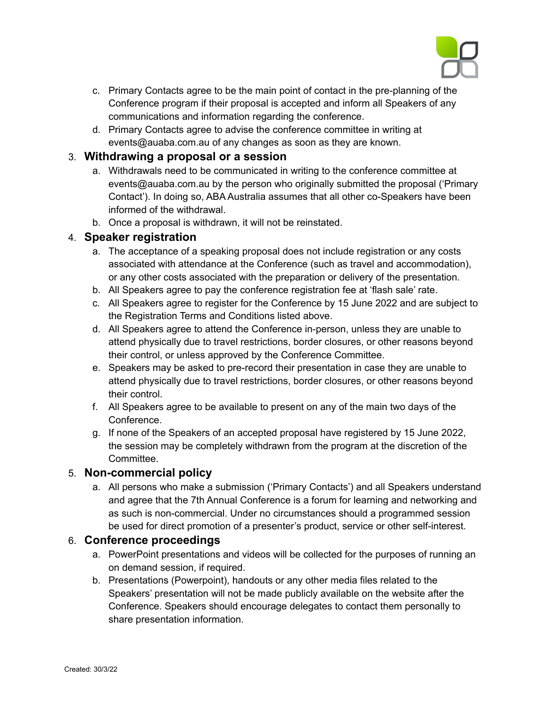

- c. Primary Contacts agree to be the main point of contact in the pre-planning of the Conference program if their proposal is accepted and inform all Speakers of any communications and information regarding the conference.
- d. Primary Contacts agree to advise the conference committee in writing at events@auaba.com.au of any changes as soon as they are known.

## 3. **Withdrawing a proposal or a session**

- a. Withdrawals need to be communicated in writing to the conference committee at events@auaba.com.au by the person who originally submitted the proposal ('Primary Contact'). In doing so, ABA Australia assumes that all other co-Speakers have been informed of the withdrawal.
- b. Once a proposal is withdrawn, it will not be reinstated.

## 4. **Speaker registration**

- a. The acceptance of a speaking proposal does not include registration or any costs associated with attendance at the Conference (such as travel and accommodation), or any other costs associated with the preparation or delivery of the presentation.
- b. All Speakers agree to pay the conference registration fee at 'flash sale' rate.
- c. All Speakers agree to register for the Conference by 15 June 2022 and are subject to the Registration Terms and Conditions listed above.
- d. All Speakers agree to attend the Conference in-person, unless they are unable to attend physically due to travel restrictions, border closures, or other reasons beyond their control, or unless approved by the Conference Committee.
- e. Speakers may be asked to pre-record their presentation in case they are unable to attend physically due to travel restrictions, border closures, or other reasons beyond their control.
- f. All Speakers agree to be available to present on any of the main two days of the Conference.
- g. If none of the Speakers of an accepted proposal have registered by 15 June 2022, the session may be completely withdrawn from the program at the discretion of the Committee.

## 5. **Non-commercial policy**

a. All persons who make a submission ('Primary Contacts') and all Speakers understand and agree that the 7th Annual Conference is a forum for learning and networking and as such is non-commercial. Under no circumstances should a programmed session be used for direct promotion of a presenter's product, service or other self-interest.

## 6. **Conference proceedings**

- a. PowerPoint presentations and videos will be collected for the purposes of running an on demand session, if required.
- b. Presentations (Powerpoint), handouts or any other media files related to the Speakers' presentation will not be made publicly available on the website after the Conference. Speakers should encourage delegates to contact them personally to share presentation information.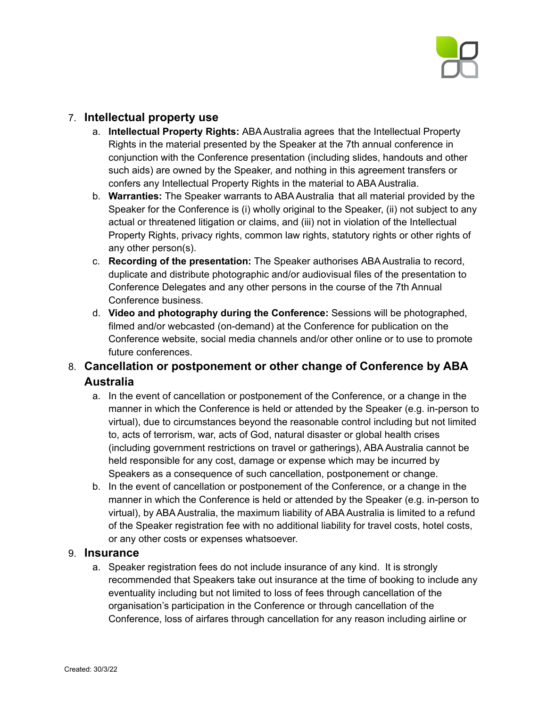

## 7. **Intellectual property use**

- a. **Intellectual Property Rights:** ABA Australia agrees that the Intellectual Property Rights in the material presented by the Speaker at the 7th annual conference in conjunction with the Conference presentation (including slides, handouts and other such aids) are owned by the Speaker, and nothing in this agreement transfers or confers any Intellectual Property Rights in the material to ABA Australia.
- b. **Warranties:** The Speaker warrants to ABA Australia that all material provided by the Speaker for the Conference is (i) wholly original to the Speaker, (ii) not subject to any actual or threatened litigation or claims, and (iii) not in violation of the Intellectual Property Rights, privacy rights, common law rights, statutory rights or other rights of any other person(s).
- c. **Recording of the presentation:** The Speaker authorises ABA Australia to record, duplicate and distribute photographic and/or audiovisual files of the presentation to Conference Delegates and any other persons in the course of the 7th Annual Conference business.
- d. **Video and photography during the Conference:** Sessions will be photographed, filmed and/or webcasted (on-demand) at the Conference for publication on the Conference website, social media channels and/or other online or to use to promote future conferences.

## 8. **Cancellation or postponement or other change of Conference by ABA Australia**

- a. In the event of cancellation or postponement of the Conference, or a change in the manner in which the Conference is held or attended by the Speaker (e.g. in-person to virtual), due to circumstances beyond the reasonable control including but not limited to, acts of terrorism, war, acts of God, natural disaster or global health crises (including government restrictions on travel or gatherings), ABA Australia cannot be held responsible for any cost, damage or expense which may be incurred by Speakers as a consequence of such cancellation, postponement or change.
- b. In the event of cancellation or postponement of the Conference, or a change in the manner in which the Conference is held or attended by the Speaker (e.g. in-person to virtual), by ABA Australia, the maximum liability of ABA Australia is limited to a refund of the Speaker registration fee with no additional liability for travel costs, hotel costs, or any other costs or expenses whatsoever.

## 9. **Insurance**

a. Speaker registration fees do not include insurance of any kind. It is strongly recommended that Speakers take out insurance at the time of booking to include any eventuality including but not limited to loss of fees through cancellation of the organisation's participation in the Conference or through cancellation of the Conference, loss of airfares through cancellation for any reason including airline or